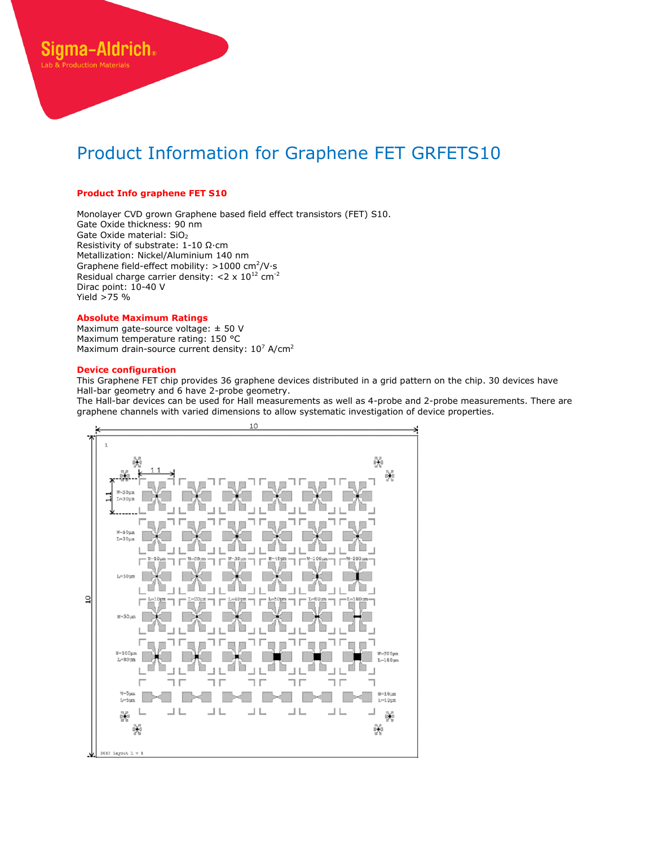# **Product Info graphene FET S10**

Siama-Aldrich.

Monolayer CVD grown Graphene based field effect transistors (FET) S10. Gate Oxide thickness: 90 nm Gate Oxide material: SiO<sub>2</sub> Resistivity of substrate: 1-10 Ω∙cm Metallization: Nickel/Aluminium 140 nm Graphene field-effect mobility: >1000 cm<sup>2</sup>/V⋅s Residual charge carrier density:  $<$ 2 x 10<sup>12</sup> cm<sup>-2</sup> Dirac point: 10-40 V Yield >75 %

#### **Absolute Maximum Ratings**

Maximum gate-source voltage: ± 50 V Maximum temperature rating: 150 °C Maximum drain-source current density:  $10^7$  A/cm<sup>2</sup>

### **Device configuration**

This Graphene FET chip provides 36 graphene devices distributed in a grid pattern on the chip. 30 devices have Hall-bar geometry and 6 have 2-probe geometry.

The Hall-bar devices can be used for Hall measurements as well as 4-probe and 2-probe measurements. There are graphene channels with varied dimensions to allow systematic investigation of device properties.

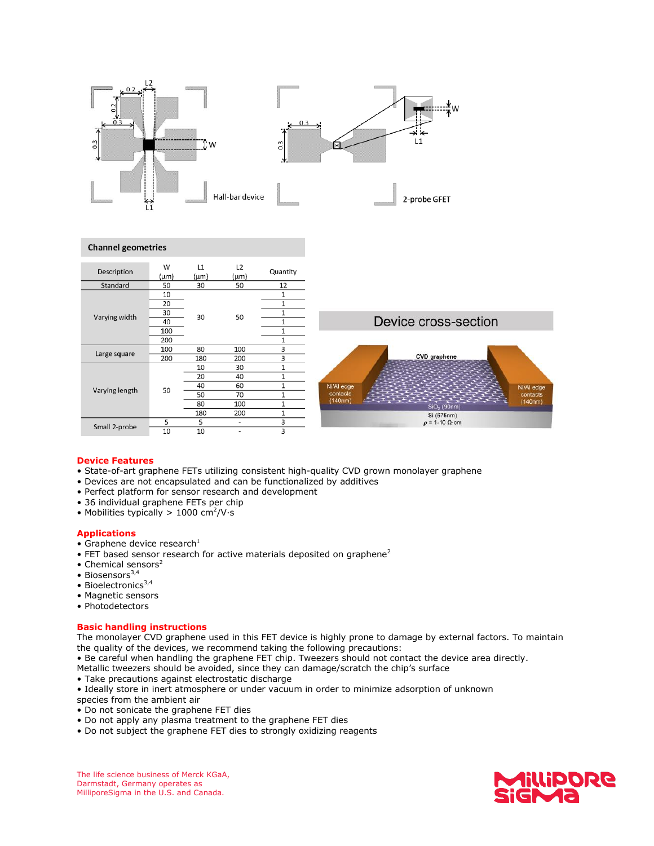

## **Channel geometries**



### **Device Features**

- State-of-art graphene FETs utilizing consistent high-quality CVD grown monolayer graphene
- Devices are not encapsulated and can be functionalized by additives
- Perfect platform for sensor research and development
- 36 individual graphene FETs per chip
- Mobilities typically > 1000 cm<sup>2</sup>/V⋅s

## **Applications**

- Graphene device research $^1$
- $\bullet$  FET based sensor research for active materials deposited on graphene<sup>2</sup>
- Chemical sensors $2$
- $\bullet$  Biosensors<sup>3,4</sup>
- Bioelectronics $3,4$
- Magnetic sensors
- Photodetectors

### **Basic handling instructions**

The monolayer CVD graphene used in this FET device is highly prone to damage by external factors. To maintain the quality of the devices, we recommend taking the following precautions:

- Be careful when handling the graphene FET chip. Tweezers should not contact the device area directly.
- Metallic tweezers should be avoided, since they can damage/scratch the chip's surface
- Take precautions against electrostatic discharge

• Ideally store in inert atmosphere or under vacuum in order to minimize adsorption of unknown

- species from the ambient air
- Do not sonicate the graphene FET dies
- Do not apply any plasma treatment to the graphene FET dies
- Do not subject the graphene FET dies to strongly oxidizing reagents



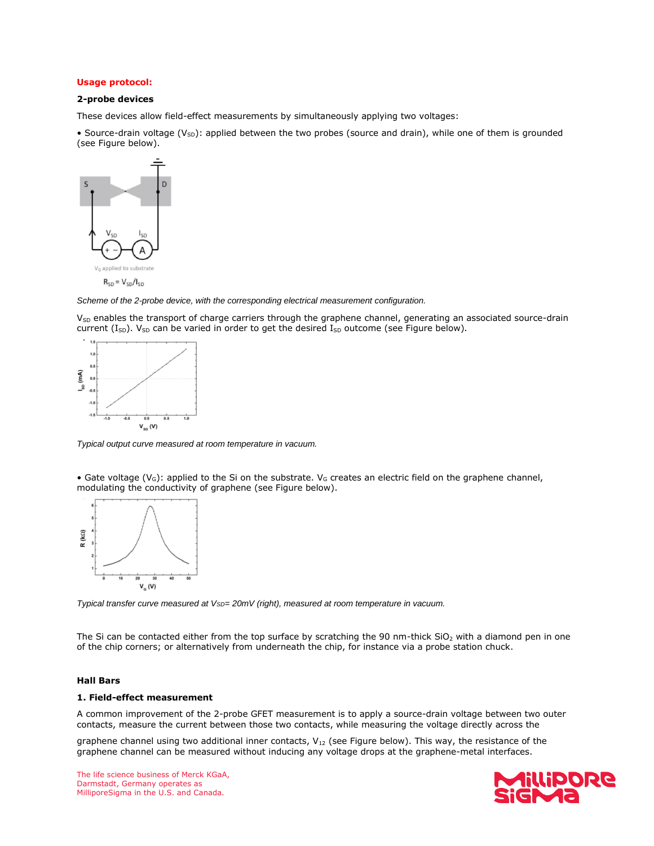# **Usage protocol:**

# **2-probe devices**

These devices allow field-effect measurements by simultaneously applying two voltages:

• Source-drain voltage (V<sub>SD</sub>): applied between the two probes (source and drain), while one of them is grounded (see Figure below).



*Scheme of the 2-probe device, with the corresponding electrical measurement configuration.*

V<sub>SD</sub> enables the transport of charge carriers through the graphene channel, generating an associated source-drain current (I<sub>SD</sub>). V<sub>SD</sub> can be varied in order to get the desired I<sub>SD</sub> outcome (see Figure below).



*Typical output curve measured at room temperature in vacuum.*

• Gate voltage ( $V_G$ ): applied to the Si on the substrate.  $V_G$  creates an electric field on the graphene channel, modulating the conductivity of graphene (see Figure below).



*Typical transfer curve measured at VSD= 20mV (right), measured at room temperature in vacuum.*

The Si can be contacted either from the top surface by scratching the 90 nm-thick  $SiO<sub>2</sub>$  with a diamond pen in one of the chip corners; or alternatively from underneath the chip, for instance via a probe station chuck.

### **Hall Bars**

### **1. Field-effect measurement**

A common improvement of the 2-probe GFET measurement is to apply a source-drain voltage between two outer contacts, measure the current between those two contacts, while measuring the voltage directly across the

graphene channel using two additional inner contacts,  $V_{12}$  (see Figure below). This way, the resistance of the graphene channel can be measured without inducing any voltage drops at the graphene-metal interfaces.



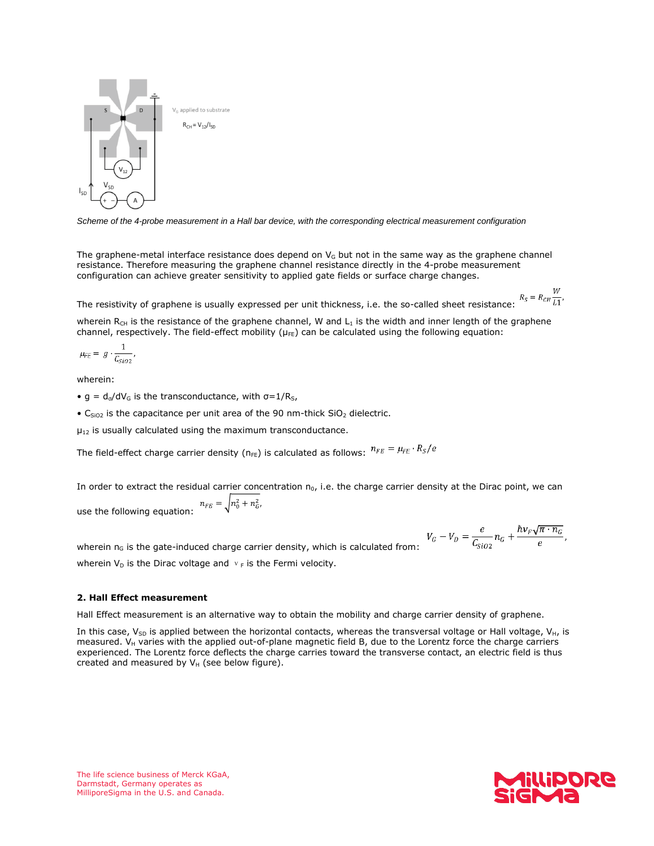

*Scheme of the 4-probe measurement in a Hall bar device, with the corresponding electrical measurement configuration*

The graphene-metal interface resistance does depend on  $V<sub>G</sub>$  but not in the same way as the graphene channel resistance. Therefore measuring the graphene channel resistance directly in the 4-probe measurement configuration can achieve greater sensitivity to applied gate fields or surface charge changes.

The resistivity of graphene is usually expressed per unit thickness, i.e. the so-called sheet resistance:  $R_s = R_{CH} \frac{W}{L1}$ ,

wherein R<sub>CH</sub> is the resistance of the graphene channel, W and L<sub>1</sub> is the width and inner length of the graphene channel, respectively. The field-effect mobility ( $\mu$ <sub>FE</sub>) can be calculated using the following equation:

$$
\mu_{FE} = g \cdot \frac{1}{C_{SiO2}},
$$

wherein:

- g =  $d_{\sigma}/dV_{G}$  is the transconductance, with  $\sigma=1/R_{S}$ ,
- C<sub>SiO2</sub> is the capacitance per unit area of the 90 nm-thick SiO<sub>2</sub> dielectric.

 $\mu_{12}$  is usually calculated using the maximum transconductance.

The field-effect charge carrier density ( $n_{FE}$ ) is calculated as follows:  $n_{FE} = \mu_{FE} \cdot R_S/e$ 

In order to extract the residual carrier concentration  $n_0$ , i.e. the charge carrier density at the Dirac point, we can use the following equation:  $n_{FE} = \sqrt{n_0^2 + n_G^2}$ .

 $V_G - V_D = \frac{e}{C_{SiO2}} n_G + \frac{\hbar v_F \sqrt{\pi \cdot n_G}}{e},$ wherein  $n<sub>G</sub>$  is the gate-induced charge carrier density, which is calculated from: wherein  $V_D$  is the Dirac voltage and  $v_F$  is the Fermi velocity.

## **2. Hall Effect measurement**

Hall Effect measurement is an alternative way to obtain the mobility and charge carrier density of graphene.

In this case,  $V_{SD}$  is applied between the horizontal contacts, whereas the transversal voltage or Hall voltage,  $V_{H}$ , is measured. V<sub>H</sub> varies with the applied out-of-plane magnetic field B, due to the Lorentz force the charge carriers experienced. The Lorentz force deflects the charge carries toward the transverse contact, an electric field is thus created and measured by  $V_H$  (see below figure).